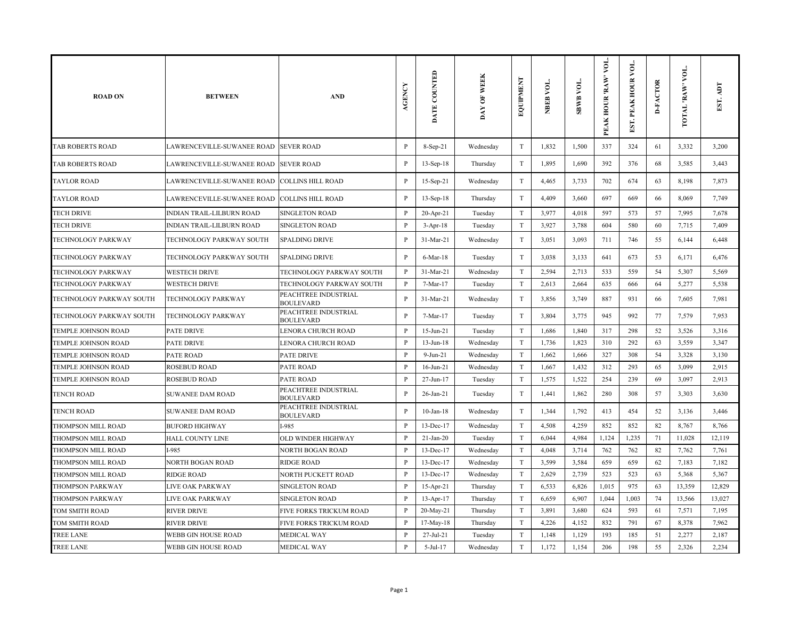| <b>ROAD ON</b>             | <b>BETWEEN</b>                               | <b>AND</b>                               | AGENCY       | DATE COUNTED    | <b>WEEK</b><br>$\overline{\mathbf{e}}$<br>DAY | <b>EQUIPMENT</b>          | NBEB VOL. | <b>SBWB VOL.</b> | VОL.<br>'RAW'<br>PEAK HOUR | $\lambda$<br>EST. PEAK HOUR | <b>D-FACTOR</b> | VOL.<br>TOTAL RAW | EST. ADT |
|----------------------------|----------------------------------------------|------------------------------------------|--------------|-----------------|-----------------------------------------------|---------------------------|-----------|------------------|----------------------------|-----------------------------|-----------------|-------------------|----------|
| TAB ROBERTS ROAD           | LAWRENCEVILLE-SUWANEE ROAD SEVER ROAD        |                                          | $\, {\bf P}$ | 8-Sep-21        | Wednesday                                     | $\mathbf T$               | 1,832     | 1,500            | 337                        | 324                         | 61              | 3,332             | 3,200    |
| <b>TAB ROBERTS ROAD</b>    | LAWRENCEVILLE-SUWANEE ROAD  SEVER ROAD       |                                          | P            | $13-Sep-18$     | Thursday                                      | $\rm T$                   | 1,895     | 1,690            | 392                        | 376                         | 68              | 3,585             | 3,443    |
| TAYLOR ROAD                | LAWRENCEVILLE-SUWANEE ROAD COLLINS HILL ROAD |                                          | P            | 15-Sep-21       | Wednesday                                     | $\ensuremath{\mathrm{T}}$ | 4,465     | 3,733            | 702                        | 674                         | 63              | 8,198             | 7,873    |
| TAYLOR ROAD                | LAWRENCEVILLE-SUWANEE ROAD COLLINS HILL ROAD |                                          | $\mathbf{P}$ | $13-Sep-18$     | Thursday                                      | $\mathbf T$               | 4,409     | 3,660            | 697                        | 669                         | 66              | 8,069             | 7,749    |
| TECH DRIVE                 | INDIAN TRAIL-LILBURN ROAD                    | <b>SINGLETON ROAD</b>                    | $\, {\bf P}$ | $20-Apr-21$     | Tuesday                                       | $\rm T$                   | 3,977     | 4,018            | 597                        | 573                         | 57              | 7,995             | 7,678    |
| TECH DRIVE                 | INDIAN TRAIL-LILBURN ROAD                    | <b>SINGLETON ROAD</b>                    | P            | $3-Apr-18$      | Tuesday                                       | $\mathbf T$               | 3,927     | 3,788            | 604                        | 580                         | 60              | 7,715             | 7,409    |
| TECHNOLOGY PARKWAY         | TECHNOLOGY PARKWAY SOUTH                     | <b>SPALDING DRIVE</b>                    | P            | 31-Mar-21       | Wednesday                                     | $\ensuremath{\mathrm{T}}$ | 3,051     | 3,093            | 711                        | 746                         | 55              | 6,144             | 6,448    |
| TECHNOLOGY PARKWAY         | TECHNOLOGY PARKWAY SOUTH                     | <b>SPALDING DRIVE</b>                    | $\mathbf{P}$ | 6-Mar-18        | Tuesday                                       | $\rm T$                   | 3,038     | 3,133            | 641                        | 673                         | 53              | 6,171             | 6,476    |
| TECHNOLOGY PARKWAY         | <b>WESTECH DRIVE</b>                         | TECHNOLOGY PARKWAY SOUTH                 | $\mathbf{P}$ | 31-Mar-21       | Wednesday                                     | $\rm T$                   | 2,594     | 2,713            | 533                        | 559                         | 54              | 5,307             | 5,569    |
| TECHNOLOGY PARKWAY         | <b>WESTECH DRIVE</b>                         | TECHNOLOGY PARKWAY SOUTH                 | $\, {\bf p}$ | 7-Mar-17        | Tuesday                                       | $\mathbf T$               | 2,613     | 2,664            | 635                        | 666                         | 64              | 5,277             | 5,538    |
| TECHNOLOGY PARKWAY SOUTH   | TECHNOLOGY PARKWAY                           | PEACHTREE INDUSTRIAL<br><b>BOULEVARD</b> | $\mathbf{P}$ | 31-Mar-21       | Wednesday                                     | $\mathbf T$               | 3,856     | 3,749            | 887                        | 931                         | 66              | 7,605             | 7,981    |
| TECHNOLOGY PARKWAY SOUTH   | TECHNOLOGY PARKWAY                           | PEACHTREE INDUSTRIAL<br><b>BOULEVARD</b> | P            | 7-Mar-17        | Tuesday                                       | $\mathbf T$               | 3,804     | 3,775            | 945                        | 992                         | 77              | 7,579             | 7,953    |
| TEMPLE JOHNSON ROAD        | <b>PATE DRIVE</b>                            | <b>LENORA CHURCH ROAD</b>                | $\, {\bf P}$ | $15 - Jun - 21$ | Tuesday                                       | $\mathbf T$               | 1,686     | 1,840            | 317                        | 298                         | 52              | 3,526             | 3,316    |
| <b>TEMPLE JOHNSON ROAD</b> | PATE DRIVE                                   | LENORA CHURCH ROAD                       | $\, {\bf p}$ | $13-Jun-18$     | Wednesday                                     | $\mathbf T$               | 1,736     | 1,823            | 310                        | 292                         | 63              | 3,559             | 3,347    |
| TEMPLE JOHNSON ROAD        | PATE ROAD                                    | <b>PATE DRIVE</b>                        | $\mathbf{P}$ | $9-Jun-21$      | Wednesday                                     | $\rm T$                   | 1,662     | 1,666            | 327                        | 308                         | 54              | 3,328             | 3,130    |
| <b>TEMPLE JOHNSON ROAD</b> | <b>ROSEBUD ROAD</b>                          | <b>PATE ROAD</b>                         | $\mathbf{P}$ | $16$ -Jun-21    | Wednesday                                     | $\rm T$                   | 1,667     | 1,432            | 312                        | 293                         | 65              | 3,099             | 2,915    |
| TEMPLE JOHNSON ROAD        | <b>ROSEBUD ROAD</b>                          | <b>PATE ROAD</b>                         | P            | 27-Jun-17       | Tuesday                                       | $\rm T$                   | 1,575     | 1,522            | 254                        | 239                         | 69              | 3,097             | 2,913    |
| <b>TENCH ROAD</b>          | <b>SUWANEE DAM ROAD</b>                      | PEACHTREE INDUSTRIAL<br><b>BOULEVARD</b> | P            | 26-Jan-21       | Tuesday                                       | $\ensuremath{\mathrm{T}}$ | 1,441     | 1,862            | 280                        | 308                         | 57              | 3,303             | 3,630    |
| TENCH ROAD                 | <b>SUWANEE DAM ROAD</b>                      | PEACHTREE INDUSTRIAL<br><b>BOULEVARD</b> | $\mathbf{P}$ | $10$ -Jan- $18$ | Wednesday                                     | $\mathbf T$               | 1,344     | 1,792            | 413                        | 454                         | 52              | 3,136             | 3,446    |
| THOMPSON MILL ROAD         | <b>BUFORD HIGHWAY</b>                        | I-985                                    | $\mathbf{P}$ | 13-Dec-17       | Wednesday                                     | $\mathbf T$               | 4,508     | 4,259            | 852                        | 852                         | 82              | 8,767             | 8,766    |
| THOMPSON MILL ROAD         | <b>HALL COUNTY LINE</b>                      | <b>OLD WINDER HIGHWAY</b>                | $\mathbf{P}$ | $21-Jan-20$     | Tuesday                                       | T                         | 6,044     | 4,984            | 1,124                      | 1,235                       | 71              | 11,028            | 12,119   |
| THOMPSON MILL ROAD         | I-985                                        | <b>NORTH BOGAN ROAD</b>                  | $\mathbf{P}$ | 13-Dec-17       | Wednesday                                     | $\mathbf T$               | 4,048     | 3,714            | 762                        | 762                         | 82              | 7,762             | 7,761    |
| THOMPSON MILL ROAD         | <b>NORTH BOGAN ROAD</b>                      | <b>RIDGE ROAD</b>                        | P            | 13-Dec-17       | Wednesday                                     | $\mathbf T$               | 3,599     | 3,584            | 659                        | 659                         | 62              | 7,183             | 7,182    |
| THOMPSON MILL ROAD         | <b>RIDGE ROAD</b>                            | NORTH PUCKETT ROAD                       | $\mathbf{P}$ | 13-Dec-17       | Wednesday                                     | $\ensuremath{\mathrm{T}}$ | 2,629     | 2,739            | 523                        | 523                         | 63              | 5,368             | 5,367    |
| THOMPSON PARKWAY           | LIVE OAK PARKWAY                             | <b>SINGLETON ROAD</b>                    | P            | 15-Apr-21       | Thursday                                      | $\mathbf T$               | 6,533     | 6,826            | 1,015                      | 975                         | 63              | 13,359            | 12,829   |
| THOMPSON PARKWAY           | LIVE OAK PARKWAY                             | <b>SINGLETON ROAD</b>                    | $\mathbf{P}$ | $13-Apr-17$     | Thursday                                      | $\mathbf T$               | 6,659     | 6,907            | 1,044                      | 1,003                       | 74              | 13,566            | 13,027   |
| TOM SMITH ROAD             | <b>RIVER DRIVE</b>                           | <b>FIVE FORKS TRICKUM ROAD</b>           | P            | 20-May-21       | Thursday                                      | $\mathbf T$               | 3,891     | 3,680            | 624                        | 593                         | 61              | 7,571             | 7,195    |
| TOM SMITH ROAD             | <b>RIVER DRIVE</b>                           | FIVE FORKS TRICKUM ROAD                  | P            | 17-May-18       | Thursday                                      | $\mathbf T$               | 4,226     | 4,152            | 832                        | 791                         | 67              | 8,378             | 7,962    |
| TREE LANE                  | WEBB GIN HOUSE ROAD                          | <b>MEDICAL WAY</b>                       | P            | $27$ -Jul-21    | Tuesday                                       | $\mathbf T$               | 1,148     | 1,129            | 193                        | 185                         | 51              | 2,277             | 2,187    |
| <b>TREE LANE</b>           | WEBB GIN HOUSE ROAD                          | <b>MEDICAL WAY</b>                       | $\mathbf{P}$ | $5-Jul-17$      | Wednesday                                     | T                         | 1,172     | 1,154            | 206                        | 198                         | 55              | 2,326             | 2,234    |